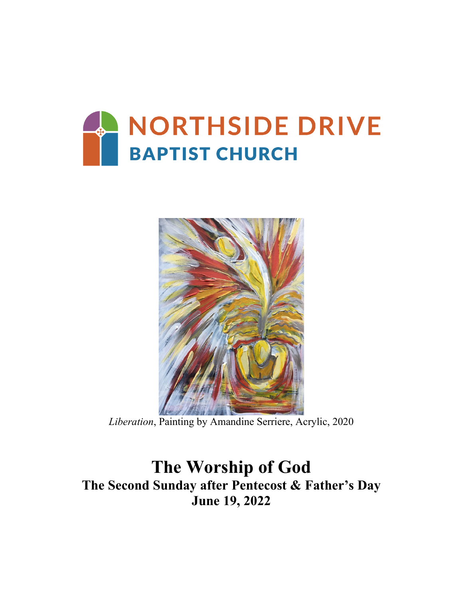



*Liberation*, Painting by Amandine Serriere, Acrylic, 2020

# **The Worship of God The Second Sunday after Pentecost & Father's Day June 19, 2022**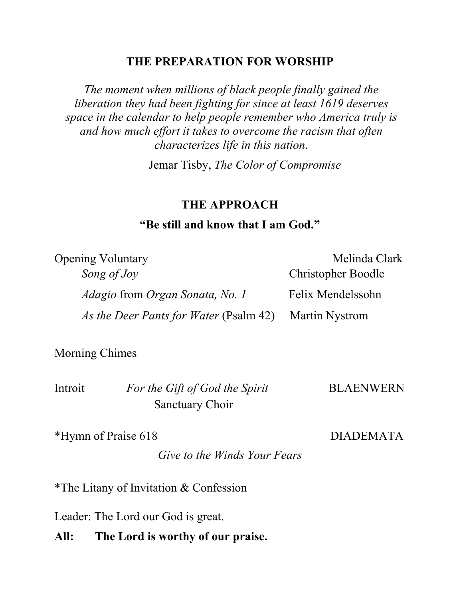## **THE PREPARATION FOR WORSHIP**

*The moment when millions of black people finally gained the liberation they had been fighting for since at least 1619 deserves space in the calendar to help people remember who America truly is and how much effort it takes to overcome the racism that often characterizes life in this nation*.

Jemar Tisby, *The Color of Compromise*

### **THE APPROACH**

# **"Be still and know that I am God."**

| <b>Opening Voluntary</b>                      | Melinda Clark             |
|-----------------------------------------------|---------------------------|
| Song of Joy                                   | <b>Christopher Boodle</b> |
| <i>Adagio</i> from <i>Organ Sonata, No. 1</i> | Felix Mendelssohn         |
| <i>As the Deer Pants for Water</i> (Psalm 42) | <b>Martin Nystrom</b>     |

Morning Chimes

| Introit | For the Gift of God the Spirit | <b>BLAENWERN</b> |
|---------|--------------------------------|------------------|
|         | <b>Sanctuary Choir</b>         |                  |

\*Hymn of Praise 618 DIADEMATA

*Give to the Winds Your Fears*

\*The Litany of Invitation & Confession

Leader: The Lord our God is great.

**All: The Lord is worthy of our praise.**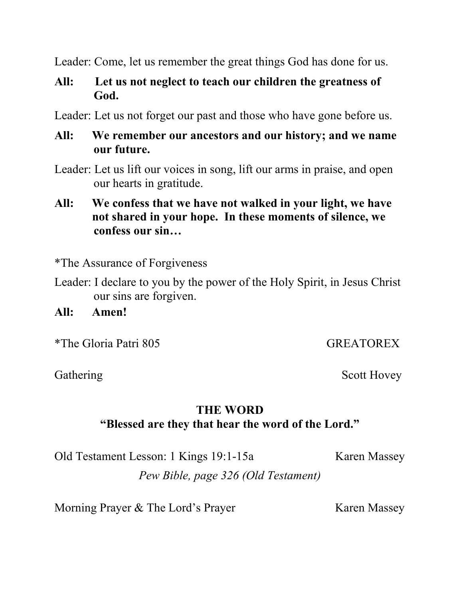Leader: Come, let us remember the great things God has done for us.

# **All: Let us not neglect to teach our children the greatness of God.**

Leader: Let us not forget our past and those who have gone before us.

# **All: We remember our ancestors and our history; and we name our future.**

- Leader: Let us lift our voices in song, lift our arms in praise, and open our hearts in gratitude.
- **All: We confess that we have not walked in your light, we have not shared in your hope. In these moments of silence, we confess our sin…**

\*The Assurance of Forgiveness

Leader: I declare to you by the power of the Holy Spirit, in Jesus Christ our sins are forgiven.

**All: Amen!**

\*The Gloria Patri 805 GREATOREX

Gathering Scott Hovey

# **THE WORD "Blessed are they that hear the word of the Lord."**

Old Testament Lesson: 1 Kings 19:1-15a Karen Massey

*Pew Bible, page 326 (Old Testament)*

Morning Prayer & The Lord's Prayer Karen Massey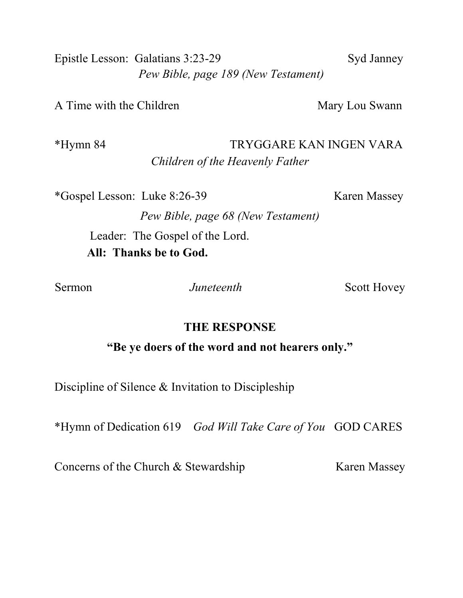Epistle Lesson: Galatians 3:23-29 Syd Janney *Pew Bible, page 189 (New Testament)*

A Time with the Children Mary Lou Swann

\*Hymn 84 TRYGGARE KAN INGEN VARA *Children of the Heavenly Father*

\*Gospel Lesson: Luke 8:26-39 Karen Massey

*Pew Bible, page 68 (New Testament)*

Leader: The Gospel of the Lord.  **All: Thanks be to God.**

Sermon *Juneteenth* Scott Hovey

## **THE RESPONSE**

**"Be ye doers of the word and not hearers only."**

Discipline of Silence & Invitation to Discipleship

\*Hymn of Dedication 619 *God Will Take Care of You* GOD CARES

Concerns of the Church & Stewardship Karen Massey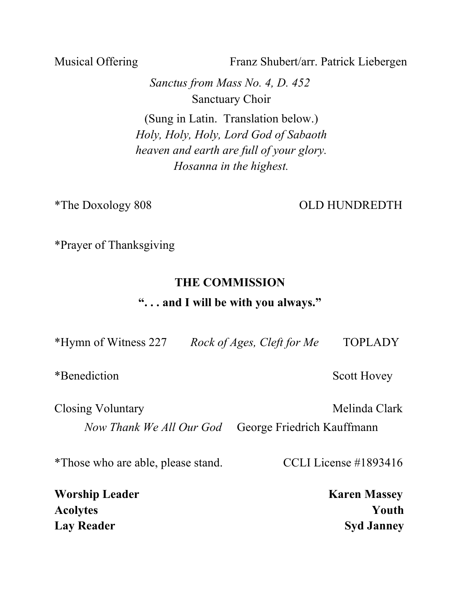Musical Offering Franz Shubert/arr. Patrick Liebergen

*Sanctus from Mass No. 4, D. 452* Sanctuary Choir

(Sung in Latin. Translation below.) *Holy, Holy, Holy, Lord God of Sabaoth heaven and earth are full of your glory. Hosanna in the highest.*

\*The Doxology 808 OLD HUNDREDTH

\*Prayer of Thanksgiving

# **THE COMMISSION**

## **". . . and I will be with you always."**

| *Hymn of Witness 227 | Rock of Ages, Cleft for Me | <b>TOPLADY</b> |
|----------------------|----------------------------|----------------|
|                      |                            |                |

\*Benediction Scott Hovey

Closing Voluntary **Melinda Clark** Melinda Clark *Now Thank We All Our God* George Friedrich Kauffmann

\*Those who are able, please stand. CCLI License #1893416

**Worship Leader Karen Massey Acolytes Youth** Lay Reader Syd Janney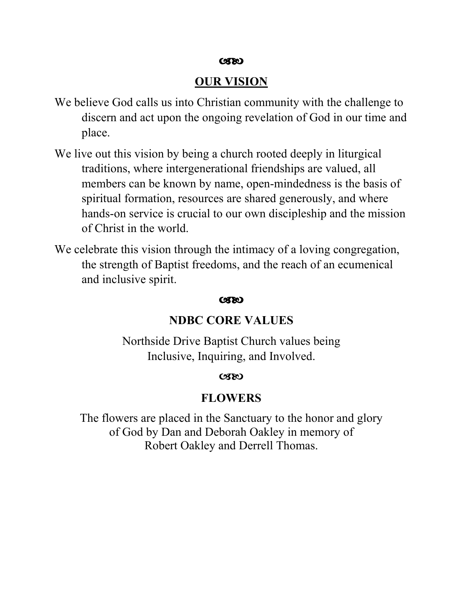#### $C3C$

### **OUR VISION**

- We believe God calls us into Christian community with the challenge to discern and act upon the ongoing revelation of God in our time and place.
- We live out this vision by being a church rooted deeply in liturgical traditions, where intergenerational friendships are valued, all members can be known by name, open-mindedness is the basis of spiritual formation, resources are shared generously, and where hands-on service is crucial to our own discipleship and the mission of Christ in the world.
- We celebrate this vision through the intimacy of a loving congregation, the strength of Baptist freedoms, and the reach of an ecumenical and inclusive spirit.

#### $C(X)$

#### **NDBC CORE VALUES**

Northside Drive Baptist Church values being Inclusive, Inquiring, and Involved.

#### $C(X)$

#### **FLOWERS**

The flowers are placed in the Sanctuary to the honor and glory of God by Dan and Deborah Oakley in memory of Robert Oakley and Derrell Thomas.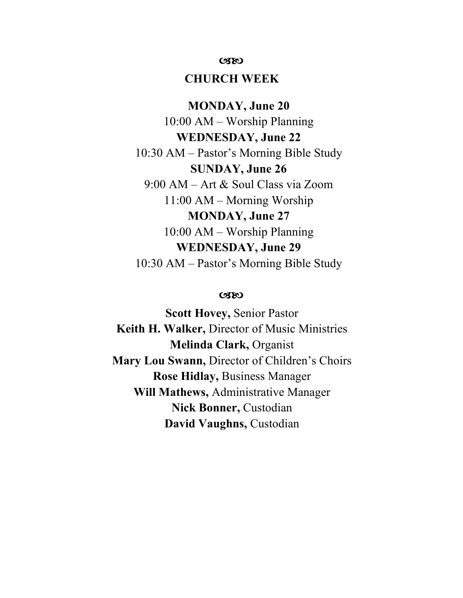#### $C380$

#### **CHURCH WEEK**

**MONDAY, June 20** 10:00 AM – Worship Planning **WEDNESDAY, June 22** 10:30 AM – Pastor's Morning Bible Study **SUNDAY, June 26** 9:00 AM – Art & Soul Class via Zoom 11:00 AM – Morning Worship **MONDAY, June 27** 10:00 AM – Worship Planning **WEDNESDAY, June 29** 10:30 AM – Pastor's Morning Bible Study

#### $C3C$

**Scott Hovey,** Senior Pastor **Keith H. Walker,** Director of Music Ministries **Melinda Clark,** Organist **Mary Lou Swann,** Director of Children's Choirs **Rose Hidlay,** Business Manager **Will Mathews,** Administrative Manager **Nick Bonner,** Custodian **David Vaughns,** Custodian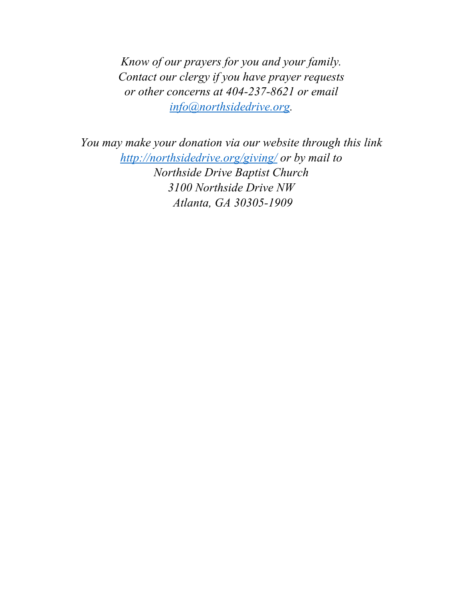*Know of our prayers for you and your family. Contact our clergy if you have prayer requests or other concerns at 404-237-8621 or email [info@northsidedrive.org.](mailto:info@northsidedrive.org)* 

*You may make your donation via our website through this link <http://northsidedrive.org/giving/> or by mail to Northside Drive Baptist Church [3100 Northside Drive NW](http://northsidedrive.org/about-us/contact-facilities-use/) [Atlanta, GA 30305-](http://northsidedrive.org/about-us/contact-facilities-use/)1909*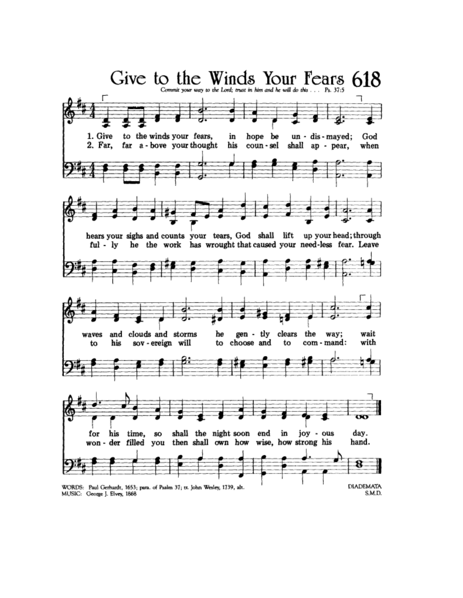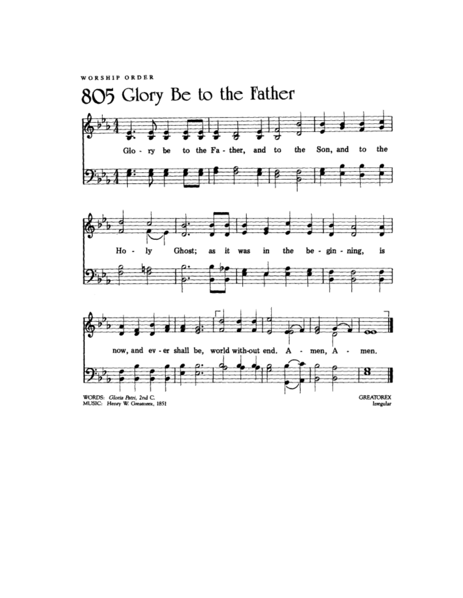WORSHIP ORDER

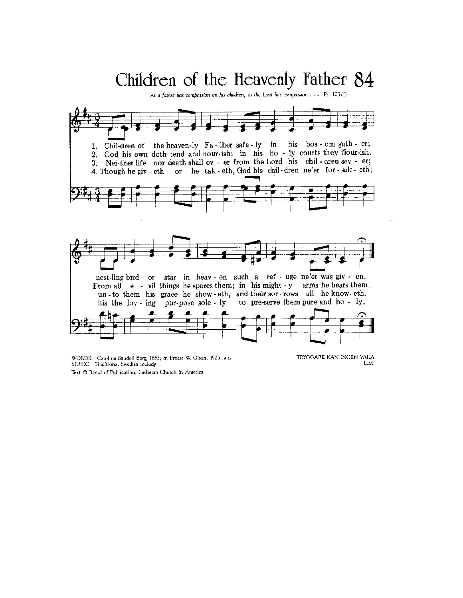# Children of the Heavenly Father 84

As a father has compassion on his children, so the Lord has compassion . . . Ps. 103:13

![](_page_10_Figure_2.jpeg)

WORDS: Carolina Sandell Berg, 1855; tr. Ernest W. Olson, 1925, alt. MUSIC: Traditional Swedish melody Text @ Board of Publication, Lutheran Church in America

TRYGGARE KAN INGEN VARA L.M.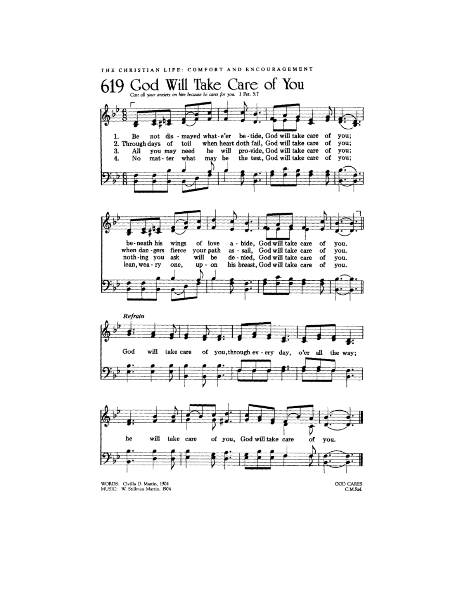![](_page_11_Figure_0.jpeg)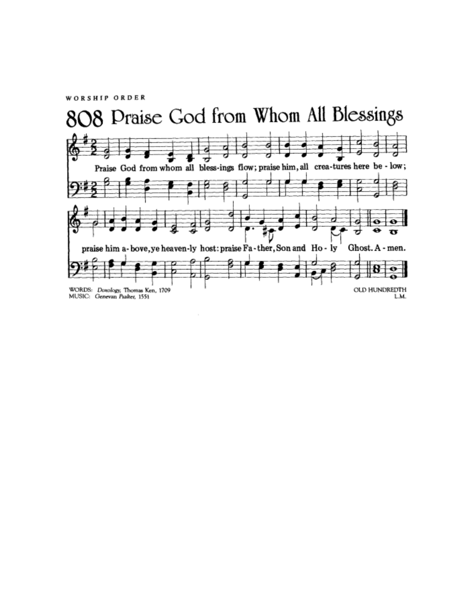WORSHIP ORDER

![](_page_12_Figure_1.jpeg)